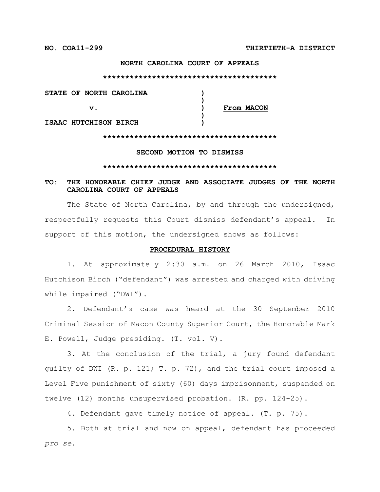### **NORTH CAROLINA COURT OF APPEALS**

#### **\*\*\*\*\*\*\*\*\*\*\*\*\*\*\*\*\*\*\*\*\*\*\*\*\*\*\*\*\*\*\*\*\*\*\*\*\*\*\***

| STATE OF NORTH CAROLINA |            |
|-------------------------|------------|
|                         |            |
| v.                      | From MACON |
|                         |            |
| ISAAC HUTCHISON BIRCH   |            |

### **\*\*\*\*\*\*\*\*\*\*\*\*\*\*\*\*\*\*\*\*\*\*\*\*\*\*\*\*\*\*\*\*\*\*\*\*\*\*\***

### **SECOND MOTION TO DISMISS**

#### **\*\*\*\*\*\*\*\*\*\*\*\*\*\*\*\*\*\*\*\*\*\*\*\*\*\*\*\*\*\*\*\*\*\*\*\*\*\*\***

# **TO: THE HONORABLE CHIEF JUDGE AND ASSOCIATE JUDGES OF THE NORTH CAROLINA COURT OF APPEALS**

The State of North Carolina, by and through the undersigned, respectfully requests this Court dismiss defendant's appeal. In support of this motion, the undersigned shows as follows:

### **PROCEDURAL HISTORY**

1. At approximately 2:30 a.m. on 26 March 2010, Isaac Hutchison Birch ("defendant") was arrested and charged with driving while impaired ("DWI").

2. Defendant's case was heard at the 30 September 2010 Criminal Session of Macon County Superior Court, the Honorable Mark E. Powell, Judge presiding. (T. vol. V).

3. At the conclusion of the trial, a jury found defendant guilty of DWI (R. p. 121; T. p. 72), and the trial court imposed a Level Five punishment of sixty (60) days imprisonment, suspended on twelve (12) months unsupervised probation. (R. pp. 124-25).

4. Defendant gave timely notice of appeal. (T. p. 75).

5. Both at trial and now on appeal, defendant has proceeded *pro se*.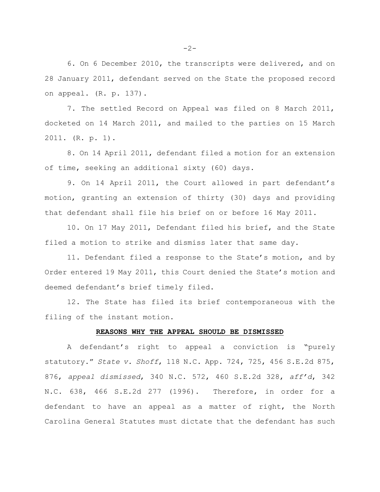6. On 6 December 2010, the transcripts were delivered, and on 28 January 2011, defendant served on the State the proposed record on appeal. (R. p. 137).

7. The settled Record on Appeal was filed on 8 March 2011, docketed on 14 March 2011, and mailed to the parties on 15 March 2011. (R. p. 1).

8. On 14 April 2011, defendant filed a motion for an extension of time, seeking an additional sixty (60) days.

9. On 14 April 2011, the Court allowed in part defendant's motion, granting an extension of thirty (30) days and providing that defendant shall file his brief on or before 16 May 2011.

10. On 17 May 2011, Defendant filed his brief, and the State filed a motion to strike and dismiss later that same day.

11. Defendant filed a response to the State's motion, and by Order entered 19 May 2011, this Court denied the State's motion and deemed defendant's brief timely filed.

12. The State has filed its brief contemporaneous with the filing of the instant motion.

### **REASONS WHY THE APPEAL SHOULD BE DISMISSED**

A defendant's right to appeal a conviction is "purely statutory." *State v. Shoff*, 118 N.C. App. 724, 725, 456 S.E.2d 875, 876, *appeal dismissed*, 340 N.C. 572, 460 S.E.2d 328, *aff'd*, 342 N.C. 638, 466 S.E.2d 277 (1996). Therefore, in order for a defendant to have an appeal as a matter of right, the North Carolina General Statutes must dictate that the defendant has such

 $-2-$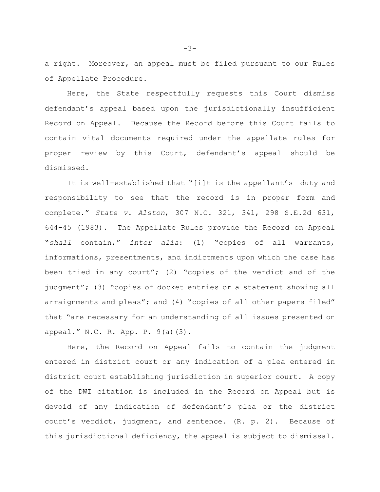a right. Moreover, an appeal must be filed pursuant to our Rules of Appellate Procedure.

Here, the State respectfully requests this Court dismiss defendant's appeal based upon the jurisdictionally insufficient Record on Appeal. Because the Record before this Court fails to contain vital documents required under the appellate rules for proper review by this Court, defendant's appeal should be dismissed.

It is well-established that "[i]t is the appellant's duty and responsibility to see that the record is in proper form and complete." *State v. Alston*, 307 N.C. 321, 341, 298 S.E.2d 631, 644-45 (1983). The Appellate Rules provide the Record on Appeal "*shall* contain," *inter alia*: (1) "copies of all warrants, informations, presentments, and indictments upon which the case has been tried in any court"; (2) "copies of the verdict and of the judgment"; (3) "copies of docket entries or a statement showing all arraignments and pleas"; and (4) "copies of all other papers filed" that "are necessary for an understanding of all issues presented on appeal." N.C. R. App. P. 9(a)(3).

Here, the Record on Appeal fails to contain the judgment entered in district court or any indication of a plea entered in district court establishing jurisdiction in superior court. A copy of the DWI citation is included in the Record on Appeal but is devoid of any indication of defendant's plea or the district court's verdict, judgment, and sentence. (R. p. 2). Because of this jurisdictional deficiency, the appeal is subject to dismissal.

-3-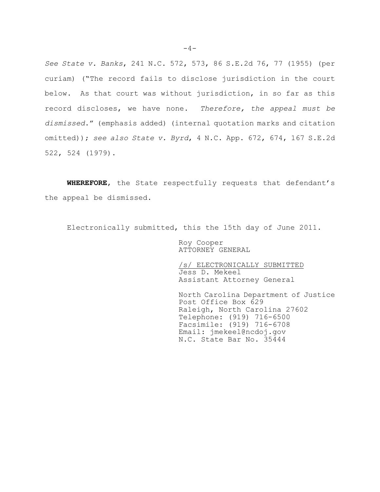*See State v. Banks*, 241 N.C. 572, 573, 86 S.E.2d 76, 77 (1955) (per curiam) ("The record fails to disclose jurisdiction in the court below. As that court was without jurisdiction, in so far as this record discloses, we have none. *Therefore, the appeal must be dismissed*." (emphasis added) (internal quotation marks and citation omitted)); *see also State v. Byrd*, 4 N.C. App. 672, 674, 167 S.E.2d 522, 524 (1979).

**WHEREFORE**, the State respectfully requests that defendant's the appeal be dismissed.

Electronically submitted, this the 15th day of June 2011.

Roy Cooper ATTORNEY GENERAL

/s/ ELECTRONICALLY SUBMITTED Jess D. Mekeel Assistant Attorney General

North Carolina Department of Justice Post Office Box 629 Raleigh, North Carolina 27602 Telephone: (919) 716-6500 Facsimile: (919) 716-6708 Email: jmekeel@ncdoj.gov N.C. State Bar No. 35444